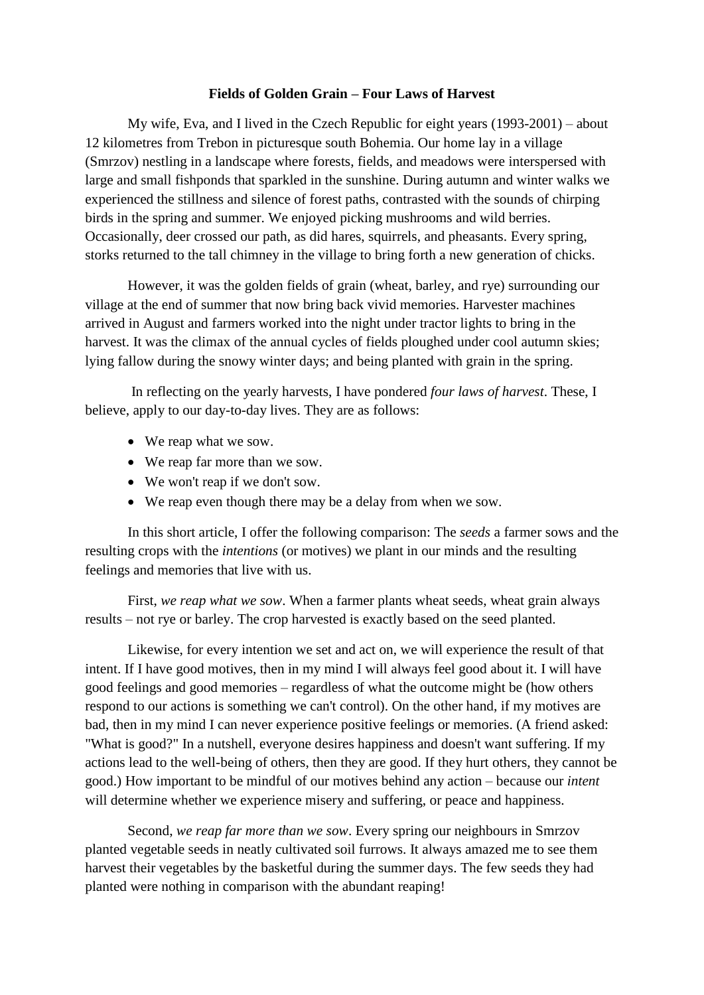## **Fields of Golden Grain – Four Laws of Harvest**

My wife, Eva, and I lived in the Czech Republic for eight years (1993-2001) – about 12 kilometres from Trebon in picturesque south Bohemia. Our home lay in a village (Smrzov) nestling in a landscape where forests, fields, and meadows were interspersed with large and small fishponds that sparkled in the sunshine. During autumn and winter walks we experienced the stillness and silence of forest paths, contrasted with the sounds of chirping birds in the spring and summer. We enjoyed picking mushrooms and wild berries. Occasionally, deer crossed our path, as did hares, squirrels, and pheasants. Every spring, storks returned to the tall chimney in the village to bring forth a new generation of chicks.

However, it was the golden fields of grain (wheat, barley, and rye) surrounding our village at the end of summer that now bring back vivid memories. Harvester machines arrived in August and farmers worked into the night under tractor lights to bring in the harvest. It was the climax of the annual cycles of fields ploughed under cool autumn skies; lying fallow during the snowy winter days; and being planted with grain in the spring.

In reflecting on the yearly harvests, I have pondered *four laws of harvest*. These, I believe, apply to our day-to-day lives. They are as follows:

- We reap what we sow.
- We reap far more than we sow.
- We won't reap if we don't sow.
- We reap even though there may be a delay from when we sow.

In this short article, I offer the following comparison: The *seeds* a farmer sows and the resulting crops with the *intentions* (or motives) we plant in our minds and the resulting feelings and memories that live with us.

First, *we reap what we sow*. When a farmer plants wheat seeds, wheat grain always results – not rye or barley. The crop harvested is exactly based on the seed planted.

Likewise, for every intention we set and act on, we will experience the result of that intent. If I have good motives, then in my mind I will always feel good about it. I will have good feelings and good memories – regardless of what the outcome might be (how others respond to our actions is something we can't control). On the other hand, if my motives are bad, then in my mind I can never experience positive feelings or memories. (A friend asked: "What is good?" In a nutshell, everyone desires happiness and doesn't want suffering. If my actions lead to the well-being of others, then they are good. If they hurt others, they cannot be good.) How important to be mindful of our motives behind any action – because our *intent* will determine whether we experience misery and suffering, or peace and happiness.

Second, *we reap far more than we sow*. Every spring our neighbours in Smrzov planted vegetable seeds in neatly cultivated soil furrows. It always amazed me to see them harvest their vegetables by the basketful during the summer days. The few seeds they had planted were nothing in comparison with the abundant reaping!